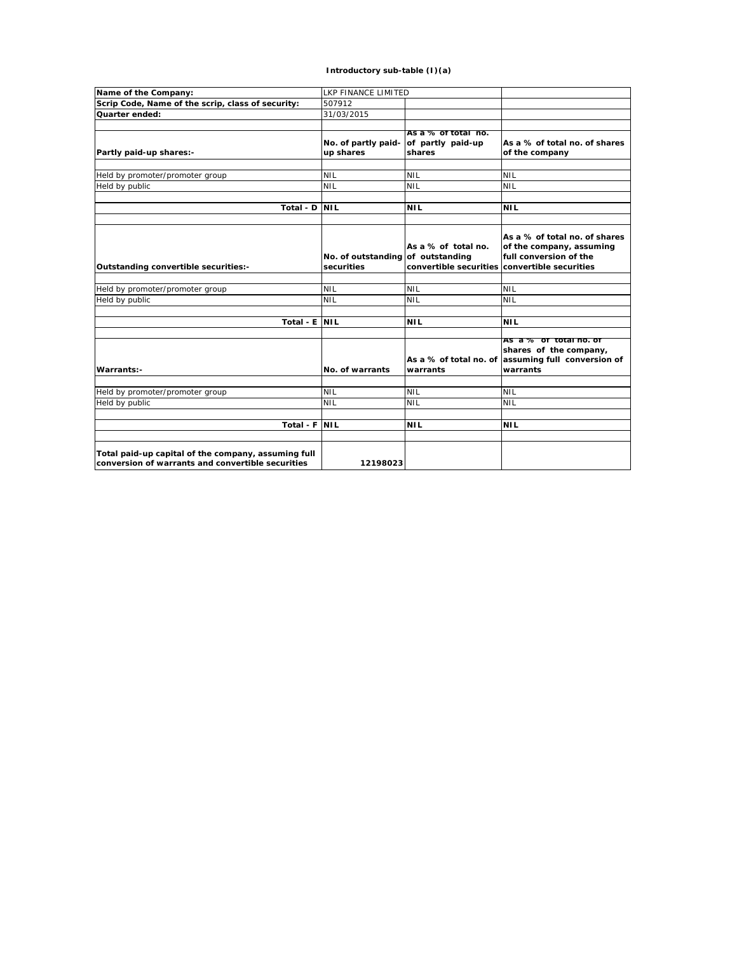## **Introductory sub-table (I)(a)**

| Name of the Company:                                                                                     | <b>LKP FINANCE LIMITED</b>                      |                                                    |                                                                                                                                      |
|----------------------------------------------------------------------------------------------------------|-------------------------------------------------|----------------------------------------------------|--------------------------------------------------------------------------------------------------------------------------------------|
| Scrip Code, Name of the scrip, class of security:                                                        | 507912                                          |                                                    |                                                                                                                                      |
| Quarter ended:                                                                                           | 31/03/2015                                      |                                                    |                                                                                                                                      |
|                                                                                                          |                                                 |                                                    |                                                                                                                                      |
| Partly paid-up shares:-                                                                                  | No. of partly paid-<br>up shares                | As a % of total no.<br>of partly paid-up<br>shares | As a % of total no. of shares<br>of the company                                                                                      |
|                                                                                                          |                                                 |                                                    |                                                                                                                                      |
| Held by promoter/promoter group                                                                          | <b>NIL</b>                                      | <b>NIL</b>                                         | <b>NIL</b>                                                                                                                           |
| Held by public                                                                                           | <b>NIL</b>                                      | <b>NIL</b>                                         | <b>NIL</b>                                                                                                                           |
|                                                                                                          |                                                 |                                                    |                                                                                                                                      |
| Total - D                                                                                                | <b>NIL</b>                                      | <b>NIL</b>                                         | <b>NIL</b>                                                                                                                           |
|                                                                                                          |                                                 |                                                    |                                                                                                                                      |
| Outstanding convertible securities:-                                                                     | No. of outstanding of outstanding<br>securities | As a % of total no.                                | As a % of total no. of shares<br>of the company, assuming<br>full conversion of the<br>convertible securities convertible securities |
|                                                                                                          |                                                 |                                                    |                                                                                                                                      |
| Held by promoter/promoter group                                                                          | <b>NIL</b>                                      | <b>NIL</b>                                         | <b>NIL</b>                                                                                                                           |
| Held by public                                                                                           | <b>NIL</b>                                      | <b>NIL</b>                                         | <b>NIL</b>                                                                                                                           |
|                                                                                                          |                                                 |                                                    |                                                                                                                                      |
| Total - E                                                                                                | <b>NIL</b>                                      | <b>NIL</b>                                         | <b>NIL</b>                                                                                                                           |
| Warrants:-                                                                                               | No. of warrants                                 | As a % of total no. of<br>warrants                 | As a % or total ho. or<br>shares of the company,<br>assuming full conversion of<br>warrants                                          |
|                                                                                                          |                                                 |                                                    |                                                                                                                                      |
| Held by promoter/promoter group                                                                          | <b>NIL</b>                                      | <b>NIL</b>                                         | <b>NIL</b>                                                                                                                           |
| Held by public                                                                                           | <b>NIL</b>                                      | <b>NIL</b>                                         | <b>NIL</b>                                                                                                                           |
| Total - F                                                                                                | <b>NIL</b>                                      | <b>NIL</b>                                         | <b>NIL</b>                                                                                                                           |
|                                                                                                          |                                                 |                                                    |                                                                                                                                      |
| Total paid-up capital of the company, assuming full<br>conversion of warrants and convertible securities | 12198023                                        |                                                    |                                                                                                                                      |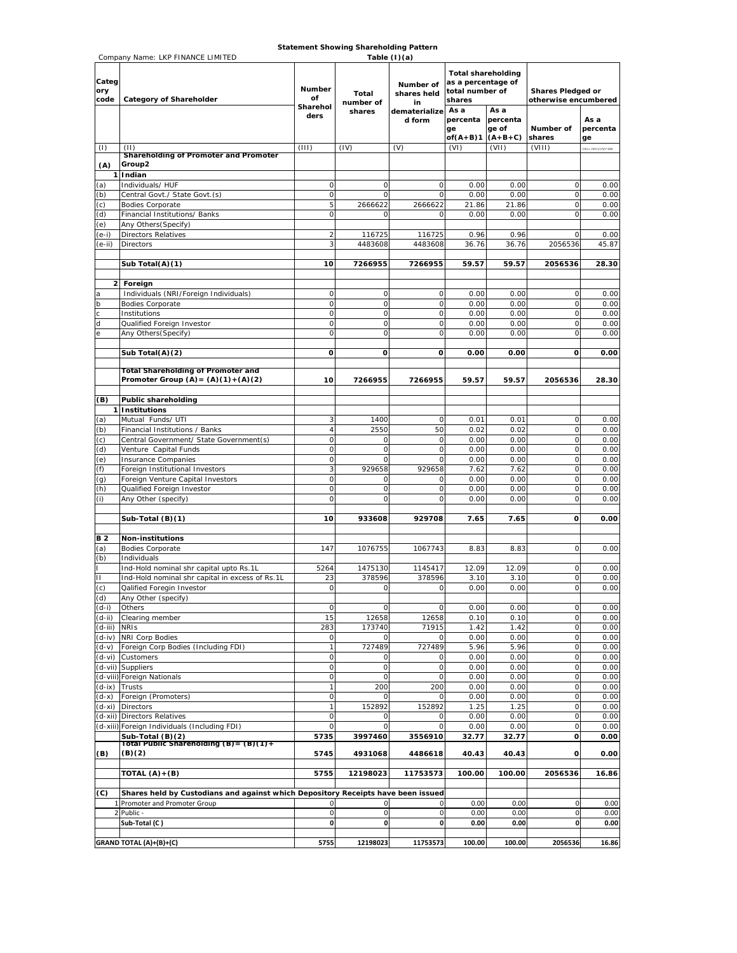**Statement Showing Shareholding Pattern** 

|                      | Company Name: LKP FINANCE LIMITED                                                |                                         |                              | Table (I)(a)                                              |                                                                                                                      |              |                                                          |                        |
|----------------------|----------------------------------------------------------------------------------|-----------------------------------------|------------------------------|-----------------------------------------------------------|----------------------------------------------------------------------------------------------------------------------|--------------|----------------------------------------------------------|------------------------|
| Categ<br>ory<br>code | <b>Category of Shareholder</b>                                                   | <b>Number</b><br>of<br>Sharehol<br>ders | Total<br>number of<br>shares | Number of<br>shares held<br>in<br>dematerialize<br>d form | <b>Total shareholding</b><br>as a percentage of<br>total number of<br>shares<br>As a<br>As a<br>percenta<br>percenta |              | <b>Shares Pledged or</b><br>otherwise encumbered<br>As a |                        |
|                      |                                                                                  |                                         |                              |                                                           | ge                                                                                                                   | ge of        | Number of                                                | percenta               |
|                      |                                                                                  |                                         |                              |                                                           | of $(A+B)1$                                                                                                          | $(A+B+C)$    | shares                                                   | ge                     |
| (1)                  | (11)<br>Shareholding of Promoter and Promoter                                    | (111)                                   | (IV)                         | (V)                                                       | (VI)                                                                                                                 | (VII)        | (VIII)                                                   | $(X) = (V11)/(IV)*100$ |
| (A)                  | Group2                                                                           |                                         |                              |                                                           |                                                                                                                      |              |                                                          |                        |
|                      | 1 Indian                                                                         |                                         |                              |                                                           |                                                                                                                      |              |                                                          |                        |
| (a)<br>(b)           | Individuals/HUF<br>Central Govt./ State Govt.(s)                                 | 0<br>$\mathsf{O}\xspace$                | 0<br>$\mathbf 0$             | 0<br>$\mathbf 0$                                          | 0.00<br>0.00                                                                                                         | 0.00<br>0.00 | 0<br>$\mathsf O$                                         | 0.00<br>0.00           |
| (c)                  | <b>Bodies Corporate</b>                                                          | 5                                       | 2666622                      | 2666622                                                   | 21.86                                                                                                                | 21.86        | $\circ$                                                  | 0.00                   |
| (d)                  | Financial Institutions/ Banks                                                    | $\mathsf O$                             | 0                            | 0                                                         | 0.00                                                                                                                 | 0.00         | 0                                                        | 0.00                   |
| (e)                  | Any Others (Specify)                                                             |                                         |                              |                                                           |                                                                                                                      |              |                                                          |                        |
| (e-i)                | <b>Directors Relatives</b>                                                       | $\overline{2}$                          | 116725                       | 116725                                                    | 0.96                                                                                                                 | 0.96         | $\circ$                                                  | 0.00                   |
| $(e-ii)$             | <b>Directors</b>                                                                 | 3                                       | 4483608                      | 4483608                                                   | 36.76                                                                                                                | 36.76        | 2056536                                                  | 45.87                  |
|                      | Sub Total(A)(1)                                                                  | 10                                      | 7266955                      | 7266955                                                   | 59.57                                                                                                                | 59.57        | 2056536                                                  | 28.30                  |
|                      |                                                                                  |                                         |                              |                                                           |                                                                                                                      |              |                                                          |                        |
|                      | 2 Foreign                                                                        |                                         |                              |                                                           |                                                                                                                      |              |                                                          |                        |
| a                    | Individuals (NRI/Foreign Individuals)                                            | $\mathsf O$                             | 0                            | 0                                                         | 0.00                                                                                                                 | 0.00         | $\circ$                                                  | 0.00                   |
| $\mathsf{b}$         | <b>Bodies Corporate</b>                                                          | 0                                       | $\mathbf 0$                  | $\circ$                                                   | 0.00                                                                                                                 | 0.00         | $\circ$                                                  | 0.00                   |
| d                    | Institutions<br>Qualified Foreign Investor                                       | $\mathsf O$<br>$\circ$                  | $\mathbf 0$<br>0             | $\circ$<br>$\mathbf 0$                                    | 0.00<br>0.00                                                                                                         | 0.00<br>0.00 | $\mathsf O$<br>$\circ$                                   | 0.00<br>0.00           |
|                      | Any Others (Specify)                                                             | $\circ$                                 | $\mathbf 0$                  | $\mathbf 0$                                               | 0.00                                                                                                                 | 0.00         | $\circ$                                                  | 0.00                   |
|                      |                                                                                  |                                         |                              |                                                           |                                                                                                                      |              |                                                          |                        |
|                      | Sub Total(A)(2)                                                                  | $\mathbf{o}$                            | $\mathbf{o}$                 | $\mathbf{o}$                                              | 0.00                                                                                                                 | 0.00         | O                                                        | 0.00                   |
|                      | <b>Total Shareholding of Promoter and</b>                                        |                                         |                              |                                                           |                                                                                                                      |              |                                                          |                        |
|                      | Promoter Group $(A) = (A)(1) + (A)(2)$                                           | 10                                      | 7266955                      | 7266955                                                   | 59.57                                                                                                                | 59.57        | 2056536                                                  | 28.30                  |
| (B)                  | <b>Public shareholding</b>                                                       |                                         |                              |                                                           |                                                                                                                      |              |                                                          |                        |
|                      | 1 Institutions                                                                   |                                         |                              |                                                           |                                                                                                                      |              |                                                          |                        |
| (a)                  | Mutual Funds/UTI                                                                 | 3                                       | 1400                         | 0                                                         | 0.01                                                                                                                 | 0.01         | $\circ$                                                  | 0.00                   |
| (b)                  | Financial Institutions / Banks                                                   | $\overline{4}$                          | 2550                         | 50                                                        | 0.02                                                                                                                 | 0.02         | $\circ$                                                  | 0.00                   |
| (c)<br>(d)           | Central Government/ State Government(s)<br>Venture Capital Funds                 | $\mathsf{O}\xspace$<br>$\mathsf O$      | 0<br>O                       | $\circ$<br>$\mathbf 0$                                    | 0.00<br>0.00                                                                                                         | 0.00<br>0.00 | $\circ$<br>$\circ$                                       | 0.00<br>0.00           |
| (e)                  | Insurance Companies                                                              | $\mathsf O$                             | 0                            | 0                                                         | 0.00                                                                                                                 | 0.00         | $\mathsf O$                                              | 0.00                   |
| (f)                  | Foreign Institutional Investors                                                  | 3                                       | 929658                       | 929658                                                    | 7.62                                                                                                                 | 7.62         | $\circ$                                                  | 0.00                   |
| (q)                  | Foreign Venture Capital Investors                                                | $\mathsf O$                             | 0                            | 0                                                         | 0.00                                                                                                                 | 0.00         | $\mathsf O$                                              | 0.00                   |
| (h)                  | Qualified Foreign Investor                                                       | $\mathsf O$                             | 0                            | 0                                                         | 0.00                                                                                                                 | 0.00         | $\circ$                                                  | 0.00                   |
| (i)                  | Any Other (specify)                                                              | $\circ$                                 | 0                            | 0                                                         | 0.00                                                                                                                 | 0.00         | $\mathsf O$                                              | 0.00                   |
|                      | Sub-Total (B)(1)                                                                 | 10                                      | 933608                       | 929708                                                    | 7.65                                                                                                                 | 7.65         | 0                                                        | 0.00                   |
|                      |                                                                                  |                                         |                              |                                                           |                                                                                                                      |              |                                                          |                        |
| <b>B2</b>            | Non-institutions                                                                 |                                         |                              |                                                           |                                                                                                                      |              |                                                          |                        |
| (a)                  | <b>Bodies Corporate</b>                                                          | 147                                     | 1076755                      | 1067743                                                   | 8.83                                                                                                                 | 8.83         | $\circ$                                                  | 0.00                   |
| (b)                  | Individuals<br>Ind-Hold nominal shr capital upto Rs.1L                           | 5264                                    | 1475130                      | 1145417                                                   | 12.09                                                                                                                | 12.09        | 0                                                        | 0.00                   |
| $\mathbf{H}$         | Ind-Hold nominal shr capital in excess of Rs.1L                                  | 23                                      | 378596                       | 378596                                                    | 3.10                                                                                                                 | 3.10         | $\circ$                                                  | 0.00                   |
| (c)                  | Qalified Foregin Investor                                                        | $\mathsf O$                             | 0                            | 0                                                         | 0.00                                                                                                                 | 0.00         | $\circ$                                                  | 0.00                   |
| (d)                  | Any Other (specify)                                                              |                                         |                              |                                                           |                                                                                                                      |              |                                                          |                        |
| $(d-i)$              | Others                                                                           | $\mathsf O$                             | $\circ$                      | 0                                                         | 0.00                                                                                                                 | 0.00         | $\mathsf O$                                              | 0.00                   |
| (d-ii)<br>$(d-iii)$  | Clearing member<br><b>NRIS</b>                                                   | 15<br>283                               | 12658<br>173740              | 12658<br>71915                                            | 0.10<br>1.42                                                                                                         | 0.10<br>1.42 | $\circ$<br>$\mathsf O$                                   | 0.00<br>0.00           |
| $(d-iv)$             | <b>NRI Corp Bodies</b>                                                           | 0                                       | 0                            | 0                                                         | 0.00                                                                                                                 | 0.00         | $\mathsf O$                                              | 0.00                   |
| (d-v)                | Foreign Corp Bodies (Including FDI)                                              | 1                                       | 727489                       | 727489                                                    | 5.96                                                                                                                 | 5.96         | 0                                                        | 0.00                   |
| $(d-vi)$             | Customers                                                                        | 0                                       | O                            | 0                                                         | 0.00                                                                                                                 | 0.00         | $\circ$                                                  | 0.00                   |
| (d-vii)              | Suppliers                                                                        | $\mathsf O$                             | $\mathbf 0$                  | $\mathbf 0$                                               | 0.00                                                                                                                 | 0.00         | $\mathsf O$                                              | 0.00                   |
| (d-viii)             | Foreign Nationals<br>Trusts                                                      | $\mathsf O$<br>$\mathbf{1}$             | 0<br>200                     | $\circ$<br>200                                            | 0.00<br>0.00                                                                                                         | 0.00<br>0.00 | 0<br>$\mathsf O$                                         | 0.00<br>0.00           |
| $(d-ix)$<br>(d-x)    | Foreign (Promoters)                                                              | $\mathsf O$                             | C                            | 0                                                         | 0.00                                                                                                                 | 0.00         | $\circ$                                                  | 0.00                   |
| $(d-xi)$             | <b>Directors</b>                                                                 | $\mathbf{1}$                            | 152892                       | 152892                                                    | 1.25                                                                                                                 | 1.25         | 0                                                        | 0.00                   |
|                      | (d-xii) Directors Relatives                                                      | $\mathsf O$                             | 0                            | 0                                                         | 0.00                                                                                                                 | 0.00         | $\circ$                                                  | 0.00                   |
|                      | (d-xiii) Foreign Individuals (Including FDI)                                     | 0                                       | 0                            | 0                                                         | 0.00                                                                                                                 | 0.00         | $\circ$                                                  | 0.00                   |
|                      | Sub-Total (B)(2)<br>Total Public Shareholding (B)= (B)(1)+                       | 5735                                    | 3997460                      | 3556910                                                   | 32.77                                                                                                                | 32.77        | o                                                        | 0.00                   |
| (B)                  | (B)(2)                                                                           | 5745                                    | 4931068                      | 4486618                                                   | 40.43                                                                                                                | 40.43        | o                                                        | 0.00                   |
|                      | TOTAL (A)+(B)                                                                    | 5755                                    | 12198023                     | 11753573                                                  | 100.00                                                                                                               | 100.00       | 2056536                                                  | 16.86                  |
| (C)                  | Shares held by Custodians and against which Depository Receipts have been issued |                                         |                              |                                                           |                                                                                                                      |              |                                                          |                        |
|                      | 1 Promoter and Promoter Group                                                    | 0                                       | 0                            | 0                                                         | 0.00                                                                                                                 | 0.00         | $\mathbf 0$                                              | 0.00                   |
|                      | 2 Public -                                                                       | 0                                       | 0                            | 0                                                         | 0.00                                                                                                                 | 0.00         | $\mathbf 0$                                              | 0.00                   |
|                      | Sub-Total (C)                                                                    | 0                                       | 0                            | 0                                                         | 0.00                                                                                                                 | 0.00         | $\mathbf{0}$                                             | 0.00                   |
|                      |                                                                                  |                                         |                              |                                                           |                                                                                                                      |              |                                                          |                        |
|                      | GRAND TOTAL (A)+(B)+(C)                                                          | 5755                                    | 12198023                     | 11753573                                                  | 100.00                                                                                                               | 100.00       | 2056536                                                  | 16.86                  |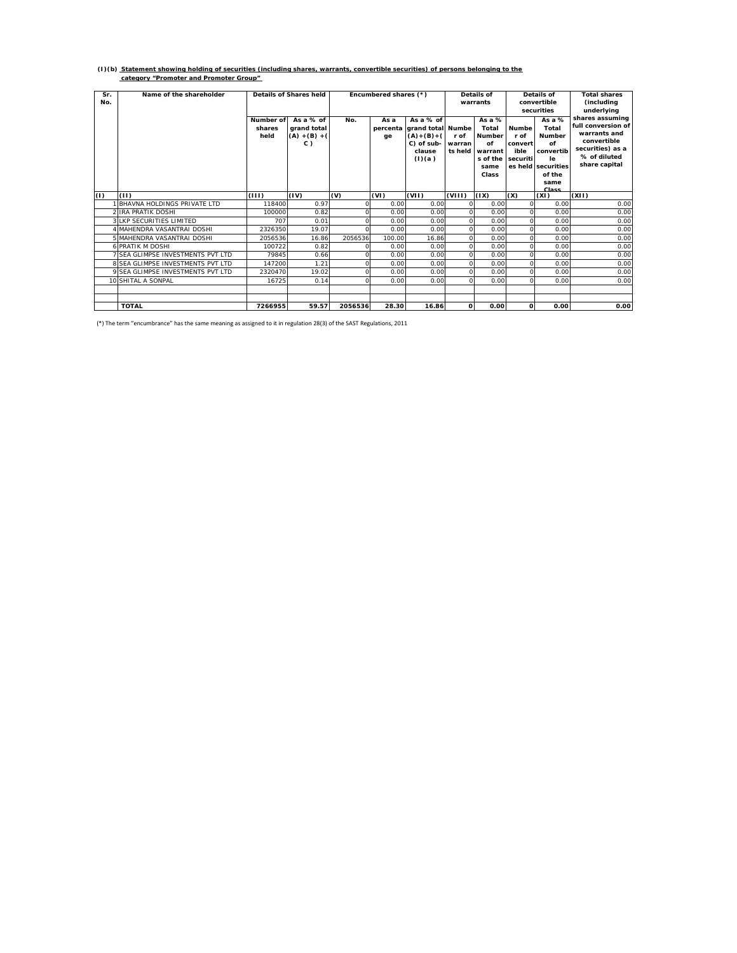# **(I)(b) Statement showing holding of securities (including shares, warrants, convertible securities) of persons belonging to the category "Promoter and Promoter Group"**

| Sr.<br>No. | Name of the shareholder                |                             | Details of Shares held                                  | Encumbered shares (*) |            |                                                                                               | Details of<br>warrants    |                                                                           | Details of<br>convertible<br>securities             |                                                                                                                   | <b>Total shares</b><br>(including<br>underlying                                                                           |
|------------|----------------------------------------|-----------------------------|---------------------------------------------------------|-----------------------|------------|-----------------------------------------------------------------------------------------------|---------------------------|---------------------------------------------------------------------------|-----------------------------------------------------|-------------------------------------------------------------------------------------------------------------------|---------------------------------------------------------------------------------------------------------------------------|
|            |                                        | Number of<br>shares<br>held | As $a \%$ of<br>grand total<br>$(A) + (B) + ($<br>$C$ ) | No.                   | As a<br>ge | As $a \%$ of<br>percenta grand total Numbe<br>$(A)+(B)+(A)$<br>C) of sub-<br>clause<br>(l)(a) | r of<br>warran<br>ts held | As $a\%$<br>Total<br>Number<br>of<br>warrant<br>s of the<br>same<br>Class | <b>Numbe</b><br>r of<br>convert<br>ible<br>securiti | As a %<br>Total<br><b>Number</b><br>of<br>convertib<br><b>le</b><br>es held securities<br>of the<br>same<br>Class | shares assuming<br>full conversion of<br>warrants and<br>convertible<br>securities) as a<br>% of diluted<br>share capital |
| (1)        | (11)                                   | (III)                       | (IV)                                                    | (V)                   | (VI)       | (VII)                                                                                         | (VIII)                    | (IX)                                                                      | (X)                                                 | (XI)                                                                                                              | (X 1)                                                                                                                     |
|            | BHAVNA HOLDINGS PRIVATE LTD            | 118400                      | 0.97                                                    |                       | 0.00       | 0.00                                                                                          | $\Omega$                  | 0.00                                                                      | $\Omega$                                            | 0.00                                                                                                              | 0.00                                                                                                                      |
|            | <b>IRA PRATIK DOSHI</b>                | 100000                      | 0.82                                                    |                       | 0.00       | 0.00                                                                                          | $\Omega$                  | 0.00                                                                      | $\Omega$                                            | 0.00                                                                                                              | 0.00                                                                                                                      |
|            | <b>3 I KP SECURITIES LIMITED</b>       | 707                         | 0.01                                                    |                       | 0.00       | 0.00                                                                                          | 0                         | 0.00                                                                      | $\Omega$                                            | 0.00                                                                                                              | 0.00                                                                                                                      |
|            | <b>I MAHENDRA VASANTRAI DOSHI</b>      | 2326350                     | 19.07                                                   |                       | 0.00       | 0.00                                                                                          | $\Omega$                  | 0.00                                                                      | $\Omega$                                            | 0.00                                                                                                              | 0.00                                                                                                                      |
|            | 5 MAHENDRA VASANTRAI DOSHI             | 2056536                     | 16.86                                                   | 2056536               | 100.00     | 16.86                                                                                         | $\circ$                   | 0.00                                                                      | $\Omega$                                            | 0.00                                                                                                              | 0.00                                                                                                                      |
|            | <b>6 PRATIK M DOSHI</b>                | 100722                      | 0.82                                                    |                       | 0.00       | 0.00                                                                                          | $\circ$                   | 0.00                                                                      | $\Omega$                                            | 0.00                                                                                                              | 0.00                                                                                                                      |
|            | <b>SEA GLIMPSE INVESTMENTS PVT LTD</b> | 79845                       | 0.66                                                    |                       | 0.00       | 0.00                                                                                          | $\Omega$                  | 0.00                                                                      | $\Omega$                                            | 0.00                                                                                                              | 0.00                                                                                                                      |
|            | 8 SEA GLIMPSE INVESTMENTS PVT LTD      | 147200                      | 1.21                                                    |                       | 0.00       | 0.00                                                                                          | $\Omega$                  | 0.00                                                                      | $\Omega$                                            | 0.00                                                                                                              | 0.00                                                                                                                      |
|            | 9 SEA GLIMPSE INVESTMENTS PVT LTD      | 2320470                     | 19.02                                                   |                       | 0.00       | 0.00                                                                                          | $\Omega$                  | 0.00                                                                      | $\Omega$                                            | 0.00                                                                                                              | 0.00                                                                                                                      |
|            | 10 SHITAL A SONPAL                     | 16725                       | 0.14                                                    |                       | 0.00       | 0.00                                                                                          | $\Omega$                  | 0.00                                                                      | $\Omega$                                            | 0.00                                                                                                              | 0.00                                                                                                                      |
|            |                                        |                             |                                                         |                       |            |                                                                                               |                           |                                                                           |                                                     |                                                                                                                   |                                                                                                                           |
|            |                                        |                             |                                                         |                       |            |                                                                                               |                           |                                                                           |                                                     |                                                                                                                   |                                                                                                                           |
|            | <b>TOTAL</b>                           | 7266955                     | 59.57                                                   | 2056536               | 28.30      | 16.86                                                                                         | $\Omega$                  | 0.00                                                                      | 0                                                   | 0.00                                                                                                              | 0.00                                                                                                                      |

(\*) The term "encumbrance" has the same meaning as assigned to it in regulation 28(3) of the SAST Regulations, 2011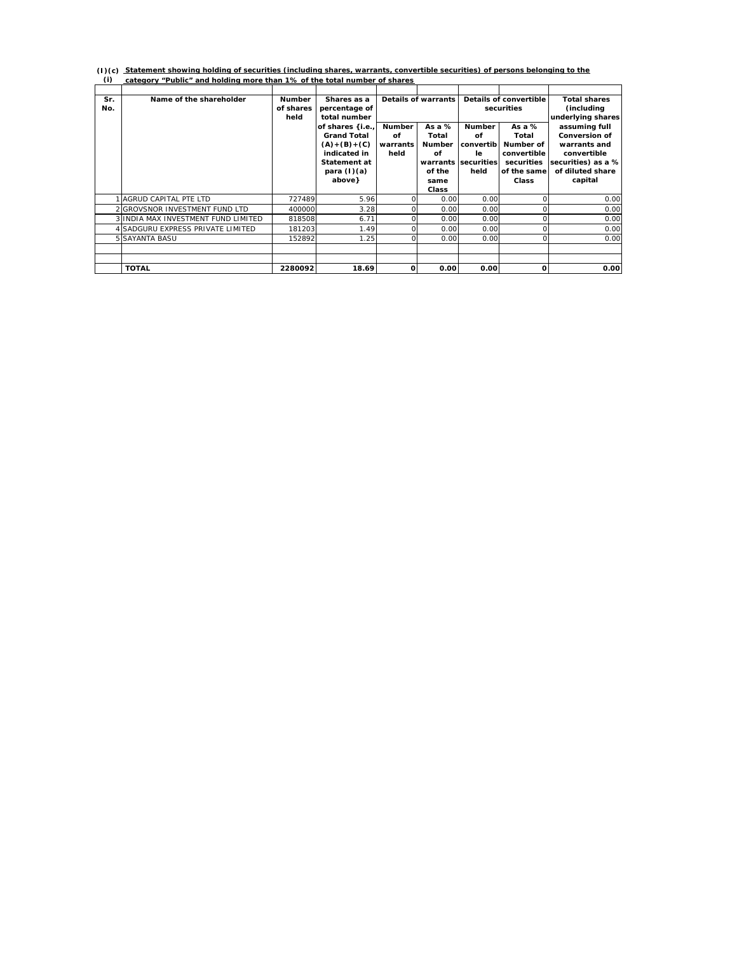**Statement showing holding of securities (including shares, warrants, convertible securities) of persons belonging to the**  (I)(c) <u>Statement showing holding of securities (including shares, warrants, conve<br>(i) category "Public" and holding more than 1% of the total number of shares</u>

| Sr. | Name of the shareholder              | <b>Number</b> | Shares as a        |               | <b>Details of warrants</b> |                     | Details of convertible | <b>Total shares</b>  |
|-----|--------------------------------------|---------------|--------------------|---------------|----------------------------|---------------------|------------------------|----------------------|
| No. |                                      | of shares     | percentage of      |               |                            | securities          |                        | (including           |
|     |                                      | held          | total number       |               |                            |                     |                        | underlying shares    |
|     |                                      |               | of shares {i.e.,   | <b>Number</b> | As a $%$                   | <b>Number</b>       | As a $%$               | assuming full        |
|     |                                      |               | <b>Grand Total</b> | Οf            | Total                      | Οf                  | Total                  | <b>Conversion of</b> |
|     |                                      |               | $(A)+(B)+(C)$      | warrants      | <b>Number</b>              | convertib           | Number of              | warrants and         |
|     |                                      |               | indicated in       | held          | Οf                         | le.                 | convertible            | convertible          |
|     |                                      |               | Statement at       |               |                            | warrants securities | securities             | securities) as a %   |
|     |                                      |               | para $(l)(a)$      |               | of the                     | held                | of the same            | of diluted share     |
|     |                                      |               | above}             |               | same                       |                     | Class                  | capital              |
|     |                                      |               |                    |               | Class                      |                     |                        |                      |
|     | 1 AGRUD CAPITAL PTE LTD              | 727489        | 5.96               | $\Omega$      | 0.00                       | 0.00                | $\Omega$               | 0.00                 |
|     | 2 GROVSNOR INVESTMENT FUND LTD       | 400000        | 3.28               | Ω             | 0.00                       | 0.00                |                        | 0.00                 |
|     | 3 IINDIA MAX INVESTMENT FUND LIMITED | 818508        | 6.71               | 0             | 0.00                       | 0.00                |                        | 0.00                 |
|     | 4 SADGURU EXPRESS PRIVATE LIMITED    | 181203        | 1.49               | U             | 0.00                       | 0.00                |                        | 0.00                 |
|     | 5 SAYANTA BASU                       | 152892        | 1.25               |               | 0.00                       | 0.00                |                        | 0.00                 |
|     |                                      |               |                    |               |                            |                     |                        |                      |
|     |                                      |               |                    |               |                            |                     |                        |                      |
|     | <b>TOTAL</b>                         | 2280092       | 18.69              | O             | 0.00                       | 0.00                | O                      | 0.00                 |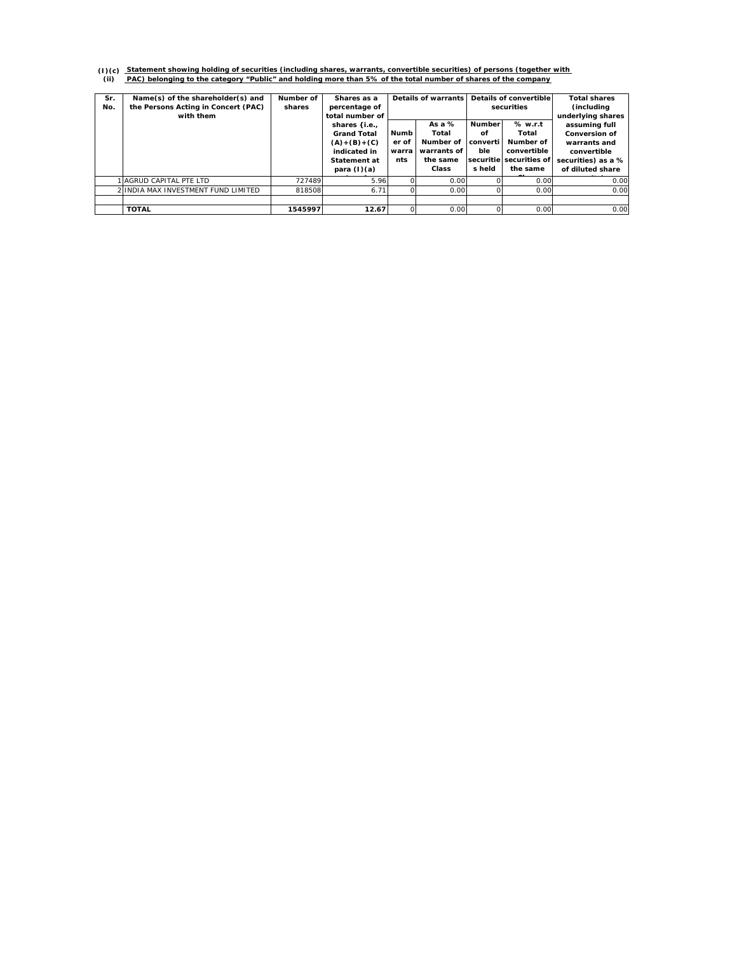# (1)(c) Statement showing holding of securities (including shares, warrants, convertible securities) of persons (together with<br>(ii) PAC) belonging to the category "Public" and holding more than 5% of the total number of sha

| Sr.<br>No. | Name(s) of the shareholder(s) and<br>the Persons Acting in Concert (PAC)<br>with them | Number of<br>shares | Shares as a<br>percentage of<br>total number of<br>shares {i.e.,                     |                               | Details of warrants<br>As $a\%$                        |                                 | Details of convertible<br>securities<br>% w.r.t<br><b>Number</b>         | <b>Total shares</b><br>(including)<br>underlying shares<br>assuming full                      |
|------------|---------------------------------------------------------------------------------------|---------------------|--------------------------------------------------------------------------------------|-------------------------------|--------------------------------------------------------|---------------------------------|--------------------------------------------------------------------------|-----------------------------------------------------------------------------------------------|
|            |                                                                                       |                     | <b>Grand Total</b><br>$(A)+(B)+(C)$<br>indicated in<br>Statement at<br>para $(l)(a)$ | Numb<br>er of<br>warra<br>nts | Total<br>Number of<br>warrants of<br>the same<br>Class | оf<br>converti<br>ble<br>s held | Total<br>Number of<br>convertible<br>securitie securities of<br>the same | <b>Conversion of</b><br>warrants and<br>convertible<br>securities) as a %<br>of diluted share |
|            | I AGRUD CAPITAL PTE LTD                                                               | 727489              | 5.96                                                                                 |                               | 0.00                                                   |                                 | 0.00                                                                     | 0.00                                                                                          |
|            | 2 IINDIA MAX INVESTMENT FUND LIMITED                                                  | 818508              | 6.71                                                                                 |                               | 0.00                                                   |                                 | 0.00                                                                     | 0.00                                                                                          |
|            |                                                                                       |                     |                                                                                      |                               |                                                        |                                 |                                                                          |                                                                                               |
|            | <b>TOTAL</b>                                                                          | 1545997             | 12.67                                                                                |                               | 0.00                                                   |                                 | 0.00                                                                     | 0.00                                                                                          |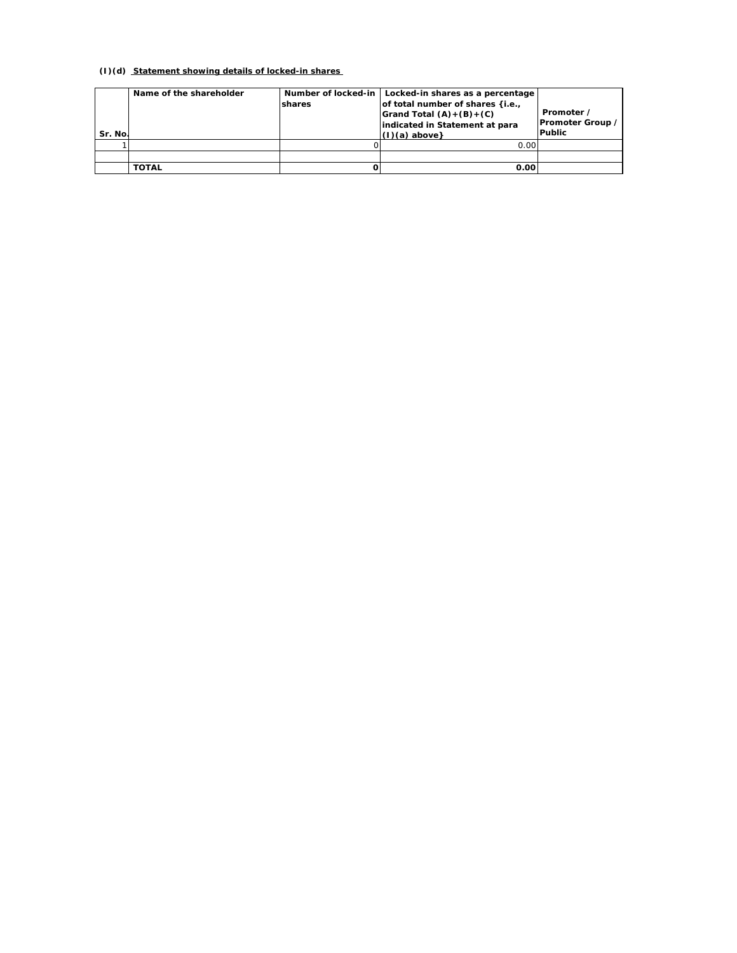### **(I)(d) Statement showing details of locked-in shares**

| Sr. No. | Name of the shareholder | shares | Number of locked-in   Locked-in shares as a percentage<br>of total number of shares {i.e.,<br>Grand Total $(A)+(B)+(C)$<br>indicated in Statement at para<br>$(1)(a)$ above} | Promoter /<br>Promoter Group /<br><b>Public</b> |
|---------|-------------------------|--------|------------------------------------------------------------------------------------------------------------------------------------------------------------------------------|-------------------------------------------------|
|         |                         |        | 0.00                                                                                                                                                                         |                                                 |
|         |                         |        |                                                                                                                                                                              |                                                 |
|         | TOTAL                   |        | 0.00                                                                                                                                                                         |                                                 |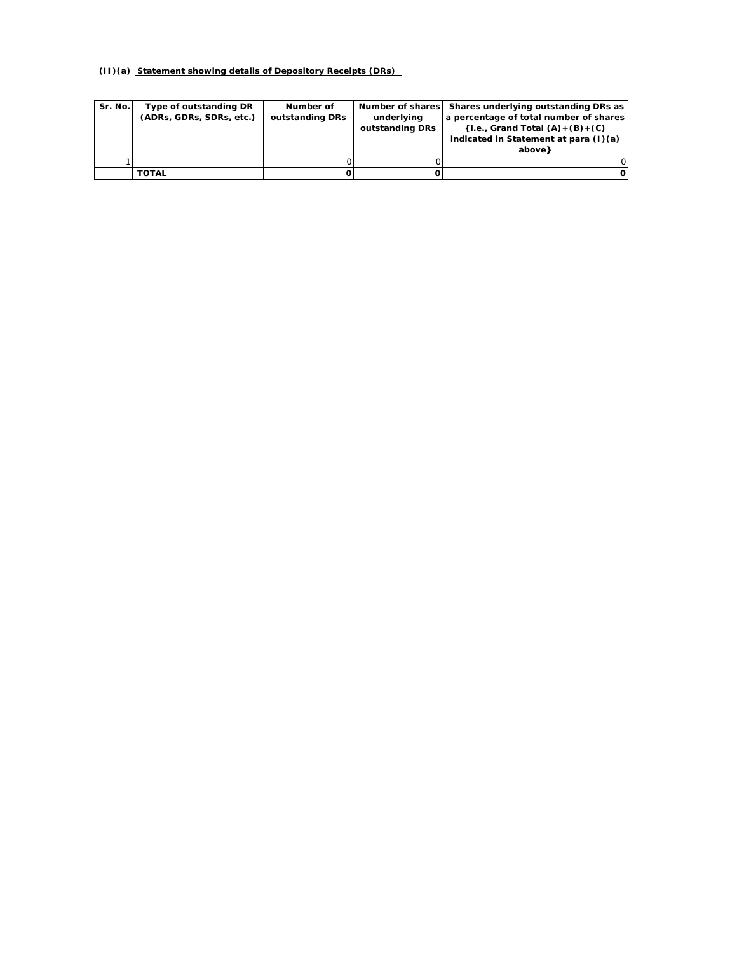## **(II)(a) Statement showing details of Depository Receipts (DRs)**

| Sr. No. | Type of outstanding DR<br>(ADRs, GDRs, SDRs, etc.) | Number of<br>outstanding DRs | underlying<br>outstanding DRs | Number of shares Shares underlying outstanding DRs as<br>a percentage of total number of shares<br>$(i.e., Grand Total (A) + (B) + (C))$<br>indicated in Statement at para (I)(a)<br>above } |
|---------|----------------------------------------------------|------------------------------|-------------------------------|----------------------------------------------------------------------------------------------------------------------------------------------------------------------------------------------|
|         |                                                    |                              |                               |                                                                                                                                                                                              |
|         | <b>TOTAL</b>                                       |                              |                               |                                                                                                                                                                                              |